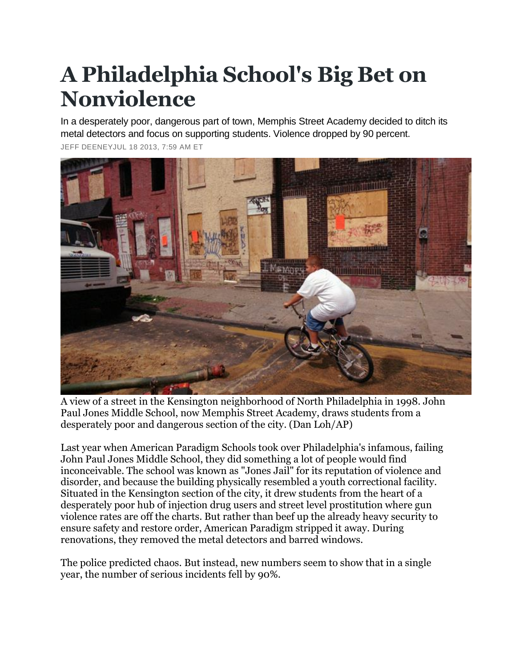## **A Philadelphia School's Big Bet on Nonviolence**

In a desperately poor, dangerous part of town, Memphis Street Academy decided to ditch its metal detectors and focus on supporting students. Violence dropped by 90 percent.

[JEFF DEENEYJ](http://www.theatlantic.com/jeff-deeney/)UL 18 2013, 7:59 AM ET



A view of a street in the Kensington neighborhood of North Philadelphia in 1998. John Paul Jones Middle School, now Memphis Street Academy, draws students from a desperately poor and dangerous section of the city. (Dan Loh/AP)

Last year when American Paradigm Schools took over Philadelphia's infamous, failing John Paul Jones Middle School, they did something a lot of people would find inconceivable. The school was known as "Jones Jail" for its reputation of violence and disorder, and because the building physically resembled a youth correctional facility. Situated in the Kensington section of the city, it drew students from the heart of a desperately poor hub of injection drug users and street level prostitution where gun violence rates are off the charts. But rather than beef up the already heavy security to ensure safety and restore order, American Paradigm stripped it away. During renovations, they removed the metal detectors and barred windows.

The police predicted chaos. But instead, new numbers seem to show that in a single year, the number of serious incidents fell by 90%.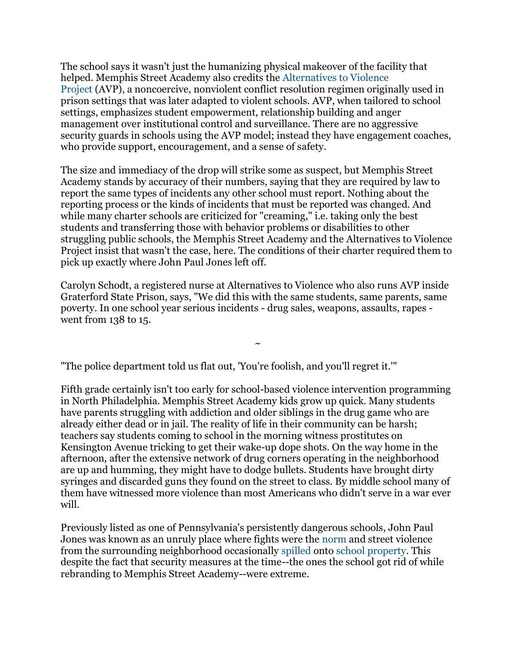The school says it wasn't just the humanizing physical makeover of the facility that helped. Memphis Street Academy also credits the [Alternatives to Violence](http://www.avpusa.org/)  [Project](http://www.avpusa.org/) (AVP), a noncoercive, nonviolent conflict resolution regimen originally used in prison settings that was later adapted to violent schools. AVP, when tailored to school settings, emphasizes student empowerment, relationship building and anger management over institutional control and surveillance. There are no aggressive security guards in schools using the AVP model; instead they have engagement coaches, who provide support, encouragement, and a sense of safety.

The size and immediacy of the drop will strike some as suspect, but Memphis Street Academy stands by accuracy of their numbers, saying that they are required by law to report the same types of incidents any other school must report. Nothing about the reporting process or the kinds of incidents that must be reported was changed. And while many charter schools are criticized for "creaming," i.e. taking only the best students and transferring those with behavior problems or disabilities to other struggling public schools, the Memphis Street Academy and the Alternatives to Violence Project insist that wasn't the case, here. The conditions of their charter required them to pick up exactly where John Paul Jones left off.

Carolyn Schodt, a registered nurse at Alternatives to Violence who also runs AVP inside Graterford State Prison, says, "We did this with the same students, same parents, same poverty. In one school year serious incidents - drug sales, weapons, assaults, rapes went from 138 to 15.

 $\ddot{\phantom{0}}$ 

"The police department told us flat out, 'You're foolish, and you'll regret it.'"

Fifth grade certainly isn't too early for school-based violence intervention programming in North Philadelphia. Memphis Street Academy kids grow up quick. Many students have parents struggling with addiction and older siblings in the drug game who are already either dead or in jail. The reality of life in their community can be harsh; teachers say students coming to school in the morning witness prostitutes on Kensington Avenue tricking to get their wake-up dope shots. On the way home in the afternoon, after the extensive network of drug corners operating in the neighborhood are up and humming, they might have to dodge bullets. Students have brought dirty syringes and discarded guns they found on the street to class. By middle school many of them have witnessed more violence than most Americans who didn't serve in a war ever will.

Previously listed as one of Pennsylvania's persistently dangerous schools, John Paul Jones was known as an unruly place where fights were the [norm](http://www.greatschools.org/pennsylvania/philadelphia/2075-Jones-John-Paul-Middle-School/?tab=reviews) and street violence from the surrounding neighborhood occasionally [spilled](http://abclocal.go.com/wpvi/story?section=news/local&id=8589019) onto [school property.](http://articles.philly.com/2008-10-16/news/25265306_1_gunfire-chinese-takeout-wounds) This despite the fact that security measures at the time--the ones the school got rid of while rebranding to Memphis Street Academy--were extreme.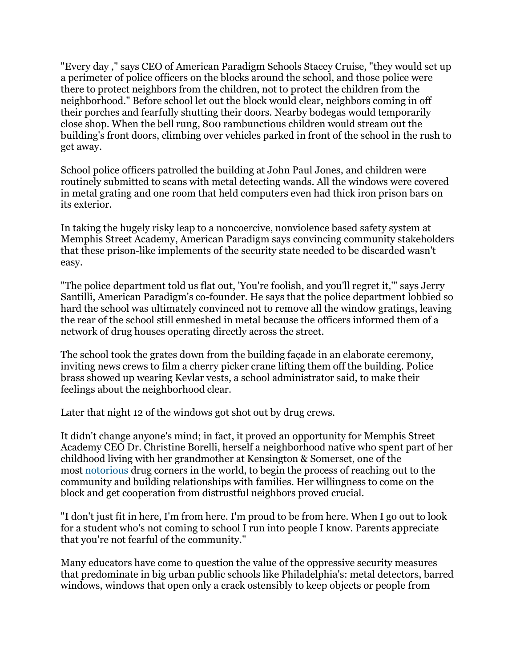"Every day ," says CEO of American Paradigm Schools Stacey Cruise, "they would set up a perimeter of police officers on the blocks around the school, and those police were there to protect neighbors from the children, not to protect the children from the neighborhood." Before school let out the block would clear, neighbors coming in off their porches and fearfully shutting their doors. Nearby bodegas would temporarily close shop. When the bell rung, 800 rambunctious children would stream out the building's front doors, climbing over vehicles parked in front of the school in the rush to get away.

School police officers patrolled the building at John Paul Jones, and children were routinely submitted to scans with metal detecting wands. All the windows were covered in metal grating and one room that held computers even had thick iron prison bars on its exterior.

In taking the hugely risky leap to a noncoercive, nonviolence based safety system at Memphis Street Academy, American Paradigm says convincing community stakeholders that these prison-like implements of the security state needed to be discarded wasn't easy.

"The police department told us flat out, 'You're foolish, and you'll regret it,'" says Jerry Santilli, American Paradigm's co-founder. He says that the police department lobbied so hard the school was ultimately convinced not to remove all the window gratings, leaving the rear of the school still enmeshed in metal because the officers informed them of a network of drug houses operating directly across the street.

The school took the grates down from the building façade in an elaborate ceremony, inviting news crews to film a cherry picker crane lifting them off the building. Police brass showed up wearing Kevlar vests, a school administrator said, to make their feelings about the neighborhood clear.

Later that night 12 of the windows got shot out by drug crews.

It didn't change anyone's mind; in fact, it proved an opportunity for Memphis Street Academy CEO Dr. Christine Borelli, herself a neighborhood native who spent part of her childhood living with her grandmother at Kensington & Somerset, one of the most [notorious](http://www.thedailybeast.com/articles/2011/08/13/philadelphia-s-kensington-avenue-heroin-prostitution-and-no-police.html) drug corners in the world, to begin the process of reaching out to the community and building relationships with families. Her willingness to come on the block and get cooperation from distrustful neighbors proved crucial.

"I don't just fit in here, I'm from here. I'm proud to be from here. When I go out to look for a student who's not coming to school I run into people I know. Parents appreciate that you're not fearful of the community."

Many educators have come to question the value of the oppressive security measures that predominate in big urban public schools like Philadelphia's: metal detectors, barred windows, windows that open only a crack ostensibly to keep objects or people from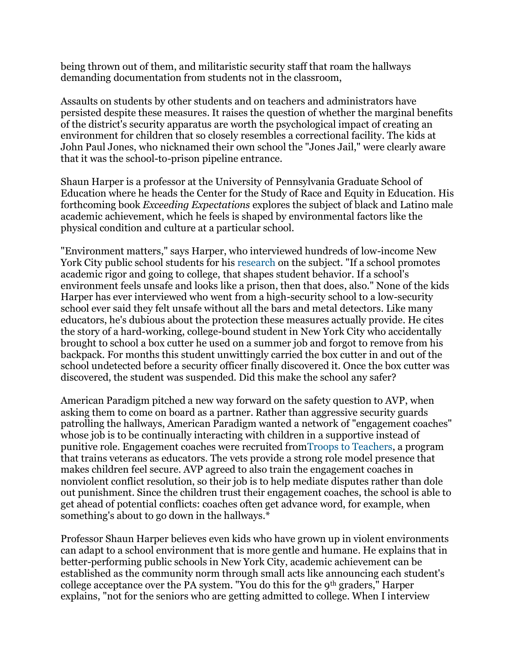being thrown out of them, and militaristic security staff that roam the hallways demanding documentation from students not in the classroom,

Assaults on students by other students and on teachers and administrators have persisted despite these measures. It raises the question of whether the marginal benefits of the district's security apparatus are worth the psychological impact of creating an environment for children that so closely resembles a correctional facility. The kids at John Paul Jones, who nicknamed their own school the "Jones Jail," were clearly aware that it was the school-to-prison pipeline entrance.

Shaun Harper is a professor at the University of Pennsylvania Graduate School of Education where he heads the Center for the Study of Race and Equity in Education. His forthcoming book *Exceeding Expectations* explores the subject of black and Latino male academic achievement, which he feels is shaped by environmental factors like the physical condition and culture at a particular school.

"Environment matters," says Harper, who interviewed hundreds of low-income New York City public school students for his [research](http://www.gse.upenn.edu/equity/content/nyc) on the subject. "If a school promotes academic rigor and going to college, that shapes student behavior. If a school's environment feels unsafe and looks like a prison, then that does, also." None of the kids Harper has ever interviewed who went from a high-security school to a low-security school ever said they felt unsafe without all the bars and metal detectors. Like many educators, he's dubious about the protection these measures actually provide. He cites the story of a hard-working, college-bound student in New York City who accidentally brought to school a box cutter he used on a summer job and forgot to remove from his backpack. For months this student unwittingly carried the box cutter in and out of the school undetected before a security officer finally discovered it. Once the box cutter was discovered, the student was suspended. Did this make the school any safer?

American Paradigm pitched a new way forward on the safety question to AVP, when asking them to come on board as a partner. Rather than aggressive security guards patrolling the hallways, American Paradigm wanted a network of "engagement coaches" whose job is to be continually interacting with children in a supportive instead of punitive role. Engagement coaches were recruited fro[mTroops to Teachers,](http://www.proudtoserveagain.com/) a program that trains veterans as educators. The vets provide a strong role model presence that makes children feel secure. AVP agreed to also train the engagement coaches in nonviolent conflict resolution, so their job is to help mediate disputes rather than dole out punishment. Since the children trust their engagement coaches, the school is able to get ahead of potential conflicts: coaches often get advance word, for example, when something's about to go down in the hallways.\*

Professor Shaun Harper believes even kids who have grown up in violent environments can adapt to a school environment that is more gentle and humane. He explains that in better-performing public schools in New York City, academic achievement can be established as the community norm through small acts like announcing each student's college acceptance over the PA system. "You do this for the 9th graders," Harper explains, "not for the seniors who are getting admitted to college. When I interview